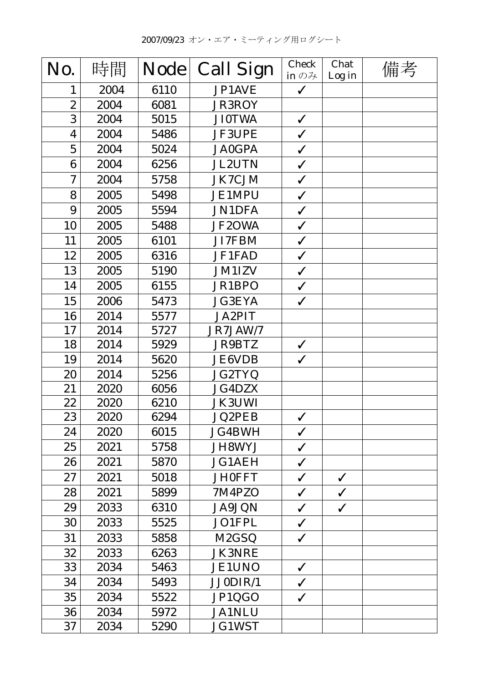| No.              | 時間   | <b>Node</b> | <b>Call Sign</b>   | <b>Check</b><br>in $\mathcal{D} \mathcal{H}$ | Chat<br>Log in | 備考 |
|------------------|------|-------------|--------------------|----------------------------------------------|----------------|----|
| 1                | 2004 | 6110        | JP1AVE             | $\checkmark$                                 |                |    |
| $\boldsymbol{2}$ | 2004 | 6081        | <b>JR3ROY</b>      |                                              |                |    |
| 3                | 2004 | 5015        | <b>JI0TWA</b>      | $\checkmark$                                 |                |    |
| 4                | 2004 | 5486        | <b>JF3UPE</b>      | $\checkmark$                                 |                |    |
| $\overline{5}$   | 2004 | 5024        | <b>JA0GPA</b>      | $\checkmark$                                 |                |    |
| 6                | 2004 | 6256        | <b>JL2UTN</b>      | $\checkmark$                                 |                |    |
| $\boldsymbol{7}$ | 2004 | 5758        | <b>JK7CJM</b>      | $\checkmark$                                 |                |    |
| 8                | 2005 | 5498        | <b>JE1MPU</b>      | $\checkmark$                                 |                |    |
| 9                | 2005 | 5594        | <b>JN1DFA</b>      | $\checkmark$                                 |                |    |
| 10               | 2005 | 5488        | JF2OWA             | $\checkmark$                                 |                |    |
| 11               | 2005 | 6101        | <b>JI7FBM</b>      | $\checkmark$                                 |                |    |
| 12               | 2005 | 6316        | JF1FAD             | $\checkmark$                                 |                |    |
| 13               | 2005 | 5190        | <b>JM1IZV</b>      | $\checkmark$                                 |                |    |
| 14               | 2005 | 6155        | JR1BPO             | $\checkmark$                                 |                |    |
| 15               | 2006 | 5473        | <b>JG3EYA</b>      | $\checkmark$                                 |                |    |
| 16               | 2014 | 5577        | <b>JA2PIT</b>      |                                              |                |    |
| 17               | 2014 | 5727        | JR7JAW/7           |                                              |                |    |
| 18               | 2014 | 5929        | <b>JR9BTZ</b>      | $\checkmark$                                 |                |    |
| 19               | 2014 | 5620        | <b>JE6VDB</b>      | $\checkmark$                                 |                |    |
| 20               | 2014 | 5256        | JG2TYQ             |                                              |                |    |
| 21               | 2020 | 6056        | <b>JG4DZX</b>      |                                              |                |    |
| 22               | 2020 | 6210        | <b>JK3UWI</b>      |                                              |                |    |
| 23               | 2020 | 6294        | <b>JQ2PEB</b>      | $\checkmark$                                 |                |    |
| 24               | 2020 | 6015        | <b>JG4BWH</b>      | $\checkmark$                                 |                |    |
| 25               | 2021 | 5758        | JH8WYJ             | $\checkmark$                                 |                |    |
| 26               | 2021 | 5870        | <b>JG1AEH</b>      | $\checkmark$                                 |                |    |
| 27               | 2021 | 5018        | <b>JH0FFT</b>      | $\checkmark$                                 | $\checkmark$   |    |
| 28               | 2021 | 5899        | 7M4PZO             | $\checkmark$                                 | $\checkmark$   |    |
| 29               | 2033 | 6310        | <b>JA9JQN</b>      | $\checkmark$                                 | $\checkmark$   |    |
| 30               | 2033 | 5525        | JO1FPL             | $\checkmark$                                 |                |    |
| 31               | 2033 | 5858        | M <sub>2</sub> GSQ | $\checkmark$                                 |                |    |
| 32               | 2033 | 6263        | <b>JK3NRE</b>      |                                              |                |    |
| 33               | 2034 | 5463        | <b>JE1UNO</b>      | $\checkmark$                                 |                |    |
| 34               | 2034 | 5493        | JJ0DIR/1           | $\checkmark$                                 |                |    |
| 35               | 2034 | 5522        | JP1QGO             | $\checkmark$                                 |                |    |
| 36               | 2034 | 5972        | <b>JA1NLU</b>      |                                              |                |    |
| 37               | 2034 | 5290        | <b>JG1WST</b>      |                                              |                |    |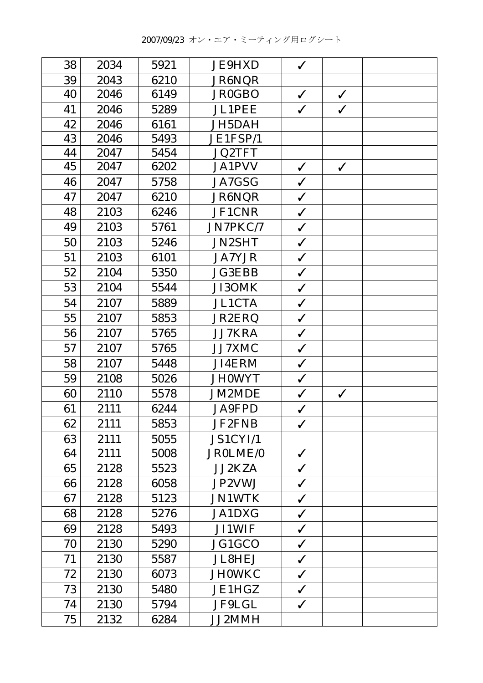| 38 | 2034 | 5921 | <b>JE9HXD</b> | $\checkmark$ |              |  |
|----|------|------|---------------|--------------|--------------|--|
| 39 | 2043 | 6210 | JR6NQR        |              |              |  |
| 40 | 2046 | 6149 | <b>JR0GBO</b> | $\checkmark$ | $\checkmark$ |  |
| 41 | 2046 | 5289 | <b>JL1PEE</b> | $\checkmark$ | $\checkmark$ |  |
| 42 | 2046 | 6161 | JH5DAH        |              |              |  |
| 43 | 2046 | 5493 | JE1FSP/1      |              |              |  |
| 44 | 2047 | 5454 | <b>JQ2TFT</b> |              |              |  |
| 45 | 2047 | 6202 | <b>JA1PVV</b> | $\checkmark$ | $\checkmark$ |  |
| 46 | 2047 | 5758 | JA7GSG        | $\checkmark$ |              |  |
| 47 | 2047 | 6210 | JR6NQR        | $\checkmark$ |              |  |
| 48 | 2103 | 6246 | JF1CNR        | $\checkmark$ |              |  |
| 49 | 2103 | 5761 | JN7PKC/7      | $\checkmark$ |              |  |
| 50 | 2103 | 5246 | <b>JN2SHT</b> | $\checkmark$ |              |  |
| 51 | 2103 | 6101 | <b>JA7YJR</b> | $\checkmark$ |              |  |
| 52 | 2104 | 5350 | <b>JG3EBB</b> | $\checkmark$ |              |  |
| 53 | 2104 | 5544 | JI3OMK        | $\checkmark$ |              |  |
| 54 | 2107 | 5889 | <b>JL1CTA</b> | $\checkmark$ |              |  |
| 55 | 2107 | 5853 | JR2ERQ        | $\checkmark$ |              |  |
| 56 | 2107 | 5765 | JJ7KRA        | $\checkmark$ |              |  |
| 57 | 2107 | 5765 | JJ7XMC        | $\checkmark$ |              |  |
| 58 | 2107 | 5448 | JI4ERM        | $\checkmark$ |              |  |
| 59 | 2108 | 5026 | <b>JH0WYT</b> | $\checkmark$ |              |  |
| 60 | 2110 | 5578 | JM2MDE        | $\checkmark$ | $\checkmark$ |  |
| 61 | 2111 | 6244 | <b>JA9FPD</b> | $\checkmark$ |              |  |
| 62 | 2111 | 5853 | <b>JF2FNB</b> | $\checkmark$ |              |  |
| 63 | 2111 | 5055 | JS1CYI/1      |              |              |  |
| 64 | 2111 | 5008 | JR0LME/0      | $\checkmark$ |              |  |
| 65 | 2128 | 5523 | <b>JJ2KZA</b> | $\checkmark$ |              |  |
| 66 | 2128 | 6058 | JP2VWJ        | $\checkmark$ |              |  |
| 67 | 2128 | 5123 | <b>JN1WTK</b> | $\checkmark$ |              |  |
| 68 | 2128 | 5276 | <b>JA1DXG</b> | $\checkmark$ |              |  |
| 69 | 2128 | 5493 | <b>JI1WIF</b> | $\checkmark$ |              |  |
| 70 | 2130 | 5290 | JG1GCO        | $\checkmark$ |              |  |
| 71 | 2130 | 5587 | <b>JL8HEJ</b> | $\checkmark$ |              |  |
| 72 | 2130 | 6073 | <b>JH0WKC</b> | $\checkmark$ |              |  |
| 73 | 2130 | 5480 | JE1HGZ        | $\checkmark$ |              |  |
| 74 | 2130 | 5794 | JF9LGL        | $\checkmark$ |              |  |
| 75 | 2132 | 6284 | JJ2MMH        |              |              |  |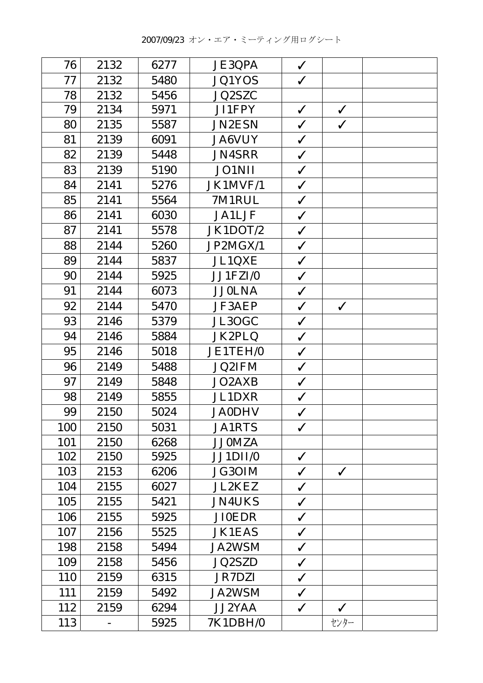| 76  | 2132 | 6277 | <b>JE3QPA</b> | $\checkmark$ |              |  |
|-----|------|------|---------------|--------------|--------------|--|
| 77  | 2132 | 5480 | <b>JQ1YOS</b> | $\checkmark$ |              |  |
| 78  | 2132 | 5456 | JQ2SZC        |              |              |  |
| 79  | 2134 | 5971 | JI1FPY        | $\checkmark$ | $\checkmark$ |  |
| 80  | 2135 | 5587 | <b>JN2ESN</b> | $\checkmark$ | $\checkmark$ |  |
| 81  | 2139 | 6091 | <b>JA6VUY</b> | $\checkmark$ |              |  |
| 82  | 2139 | 5448 | <b>JN4SRR</b> | $\checkmark$ |              |  |
| 83  | 2139 | 5190 | <b>JO1NII</b> | $\checkmark$ |              |  |
| 84  | 2141 | 5276 | JK1MVF/1      | $\checkmark$ |              |  |
| 85  | 2141 | 5564 | 7M1RUL        | $\checkmark$ |              |  |
| 86  | 2141 | 6030 | <b>JA1LJF</b> | $\checkmark$ |              |  |
| 87  | 2141 | 5578 | JK1DOT/2      | $\checkmark$ |              |  |
| 88  | 2144 | 5260 | JP2MGX/1      | $\checkmark$ |              |  |
| 89  | 2144 | 5837 | JL1QXE        | $\checkmark$ |              |  |
| 90  | 2144 | 5925 | JJ1FZI/0      | $\checkmark$ |              |  |
| 91  | 2144 | 6073 | <b>JJ0LNA</b> | $\checkmark$ |              |  |
| 92  | 2144 | 5470 | <b>JF3AEP</b> | $\checkmark$ | $\checkmark$ |  |
| 93  | 2146 | 5379 | JL3OGC        | $\checkmark$ |              |  |
| 94  | 2146 | 5884 | JK2PLQ        | $\checkmark$ |              |  |
| 95  | 2146 | 5018 | JE1TEH/0      | $\checkmark$ |              |  |
| 96  | 2149 | 5488 | <b>JQ2IFM</b> | $\checkmark$ |              |  |
| 97  | 2149 | 5848 | JO2AXB        | $\checkmark$ |              |  |
| 98  | 2149 | 5855 | <b>JL1DXR</b> | $\checkmark$ |              |  |
| 99  | 2150 | 5024 | <b>JA0DHV</b> | $\checkmark$ |              |  |
| 100 | 2150 | 5031 | <b>JA1RTS</b> | $\checkmark$ |              |  |
| 101 | 2150 | 6268 | <b>JJ0MZA</b> |              |              |  |
| 102 | 2150 | 5925 | JJ1DII/0      | $\checkmark$ |              |  |
| 103 | 2153 | 6206 | JG30IM        | $\checkmark$ | $\checkmark$ |  |
| 104 | 2155 | 6027 | <b>JL2KEZ</b> | $\checkmark$ |              |  |
| 105 | 2155 | 5421 | <b>JN4UKS</b> | $\checkmark$ |              |  |
| 106 | 2155 | 5925 | <b>JI0EDR</b> | $\checkmark$ |              |  |
| 107 | 2156 | 5525 | <b>JK1EAS</b> | $\checkmark$ |              |  |
| 198 | 2158 | 5494 | <b>JA2WSM</b> | $\checkmark$ |              |  |
| 109 | 2158 | 5456 | <b>JQ2SZD</b> | $\checkmark$ |              |  |
| 110 | 2159 | 6315 | <b>JR7DZI</b> | $\checkmark$ |              |  |
| 111 | 2159 | 5492 | <b>JA2WSM</b> | $\checkmark$ |              |  |
| 112 | 2159 | 6294 | <b>JJ2YAA</b> | $\checkmark$ | $\checkmark$ |  |
| 113 |      | 5925 | 7K1DBH/0      |              | センター         |  |